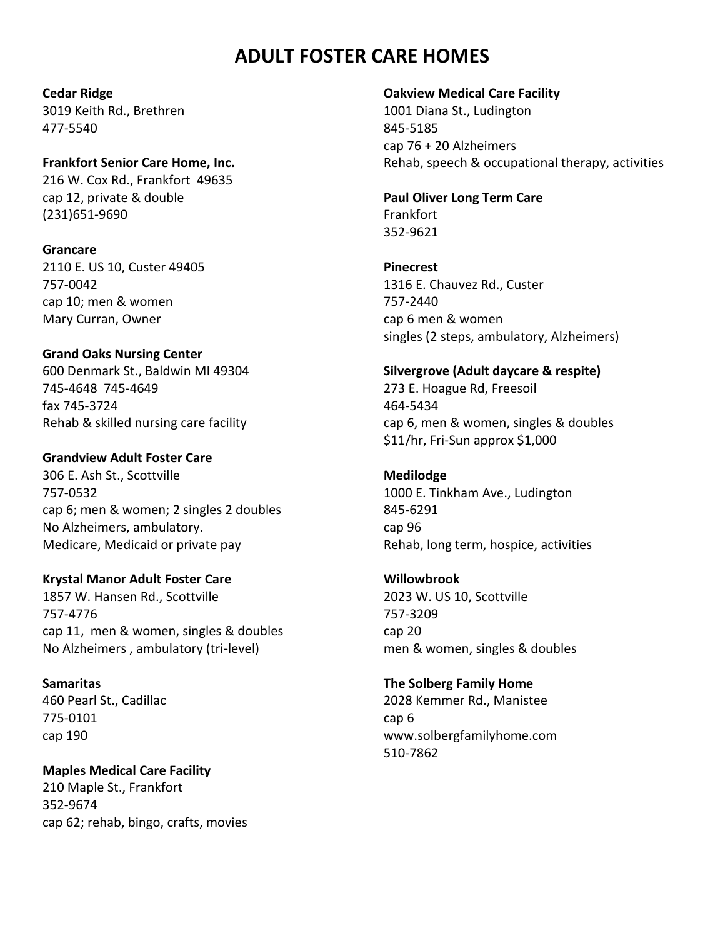# **ADULT FOSTER CARE HOMES**

#### **Cedar Ridge**

3019 Keith Rd., Brethren 477-5540

**Frankfort Senior Care Home, Inc.** 216 W. Cox Rd., Frankfort 49635 cap 12, private & double (231)651-9690

**Grancare**

2110 E. US 10, Custer 49405 757-0042 cap 10; men & women Mary Curran, Owner

## **Grand Oaks Nursing Center**

600 Denmark St., Baldwin MI 49304 745-4648 745-4649 fax 745-3724 Rehab & skilled nursing care facility

### **Grandview Adult Foster Care**

306 E. Ash St., Scottville 757-0532 cap 6; men & women; 2 singles 2 doubles No Alzheimers, ambulatory. Medicare, Medicaid or private pay

### **Krystal Manor Adult Foster Care**

1857 W. Hansen Rd., Scottville 757-4776 cap 11, men & women, singles & doubles No Alzheimers , ambulatory (tri-level)

**Samaritas** 460 Pearl St., Cadillac 775-0101 cap 190

## **Maples Medical Care Facility**

210 Maple St., Frankfort 352-9674 cap 62; rehab, bingo, crafts, movies

#### **Oakview Medical Care Facility**

1001 Diana St., Ludington 845-5185 cap 76 + 20 Alzheimers Rehab, speech & occupational therapy, activities

### **Paul Oliver Long Term Care** Frankfort 352-9621

**Pinecrest**

1316 E. Chauvez Rd., Custer 757-2440 cap 6 men & women singles (2 steps, ambulatory, Alzheimers)

## **Silvergrove (Adult daycare & respite)**

273 E. Hoague Rd, Freesoil 464-5434 cap 6, men & women, singles & doubles \$11/hr, Fri-Sun approx \$1,000

**Medilodge** 1000 E. Tinkham Ave., Ludington

845-6291 cap 96 Rehab, long term, hospice, activities

## **Willowbrook**

2023 W. US 10, Scottville 757-3209 cap 20 men & women, singles & doubles

## **The Solberg Family Home** 2028 Kemmer Rd., Manistee

cap 6 www.solbergfamilyhome.com 510-7862